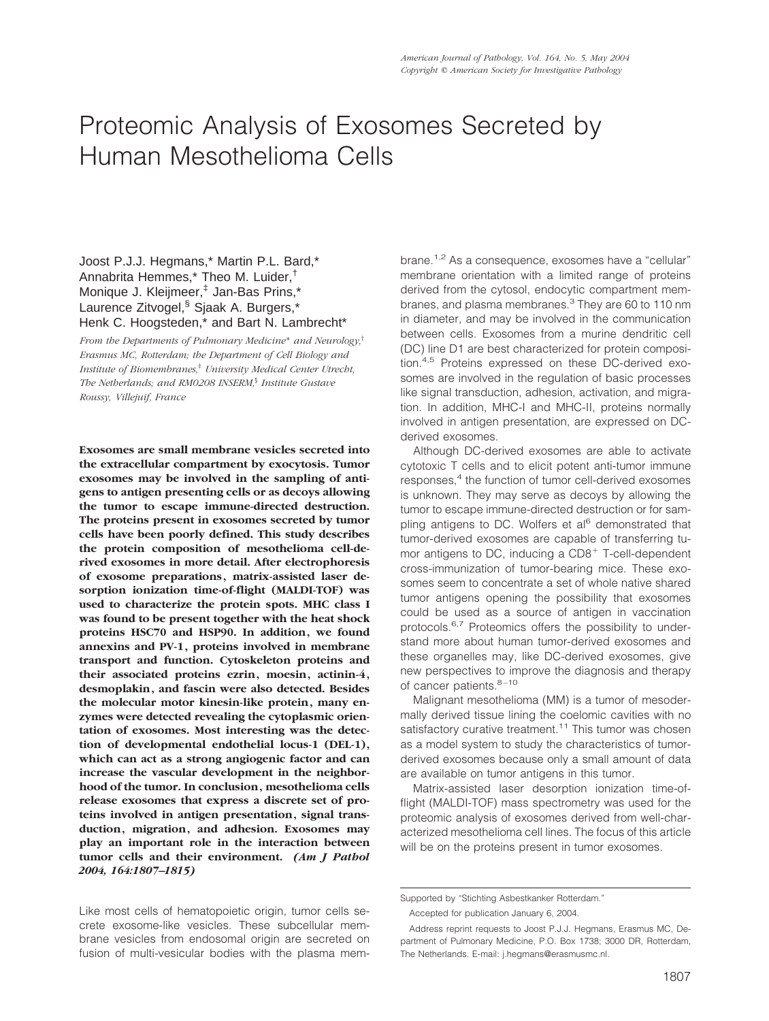# Proteomic Analysis of Exosomes Secreted by Human Mesothelioma Cells

## Joost P.J.J. Hegmans,\* Martin P.L. Bard,\* Annabrita Hemmes,\* Theo M. Luider,† Monique J. Kleijmeer,‡ Jan-Bas Prins,\* Laurence Zitvogel,<sup>§</sup> Sjaak A. Burgers.\* Henk C. Hoogsteden,\* and Bart N. Lambrecht\*

*From the Departments of Pulmonary Medicine* \* *and Neurology,*† *Erasmus MC, Rotterdam; the Department of Cell Biology and Institute of Biomembranes,*‡ *University Medical Center Utrecht, The Netherlands; and RM0208 INSERM,*§ *Institute Gustave Roussy, Villejuif, France*

**Exosomes are small membrane vesicles secreted into the extracellular compartment by exocytosis. Tumor exosomes may be involved in the sampling of antigens to antigen presenting cells or as decoys allowing the tumor to escape immune-directed destruction. The proteins present in exosomes secreted by tumor cells have been poorly defined. This study describes the protein composition of mesothelioma cell-derived exosomes in more detail. After electrophoresis of exosome preparations, matrix-assisted laser desorption ionization time-of-flight (MALDI-TOF) was used to characterize the protein spots. MHC class I was found to be present together with the heat shock proteins HSC70 and HSP90. In addition, we found annexins and PV-1, proteins involved in membrane transport and function. Cytoskeleton proteins and their associated proteins ezrin, moesin, actinin-4, desmoplakin, and fascin were also detected. Besides the molecular motor kinesin-like protein, many enzymes were detected revealing the cytoplasmic orientation of exosomes. Most interesting was the detection of developmental endothelial locus-1 (DEL-1), which can act as a strong angiogenic factor and can increase the vascular development in the neighborhood of the tumor. In conclusion, mesothelioma cells release exosomes that express a discrete set of proteins involved in antigen presentation, signal transduction, migration, and adhesion. Exosomes may play an important role in the interaction between tumor cells and their environment.** *(Am J Pathol 2004, 164:1807–1815)*

Like most cells of hematopoietic origin, tumor cells secrete exosome-like vesicles. These subcellular membrane vesicles from endosomal origin are secreted on fusion of multi-vesicular bodies with the plasma mem-

brane.<sup>1,2</sup> As a consequence, exosomes have a "cellular" membrane orientation with a limited range of proteins derived from the cytosol, endocytic compartment membranes, and plasma membranes.<sup>3</sup> They are 60 to 110 nm in diameter, and may be involved in the communication between cells. Exosomes from a murine dendritic cell (DC) line D1 are best characterized for protein composition.4,5 Proteins expressed on these DC-derived exosomes are involved in the regulation of basic processes like signal transduction, adhesion, activation, and migration. In addition, MHC-I and MHC-II, proteins normally involved in antigen presentation, are expressed on DCderived exosomes.

Although DC-derived exosomes are able to activate cytotoxic T cells and to elicit potent anti-tumor immune responses.<sup>4</sup> the function of tumor cell-derived exosomes is unknown. They may serve as decoys by allowing the tumor to escape immune-directed destruction or for sampling antigens to DC. Wolfers et al<sup>6</sup> demonstrated that tumor-derived exosomes are capable of transferring tumor antigens to DC, inducing a  $CDB<sup>+</sup>$  T-cell-dependent cross-immunization of tumor-bearing mice. These exosomes seem to concentrate a set of whole native shared tumor antigens opening the possibility that exosomes could be used as a source of antigen in vaccination protocols.<sup>6,7</sup> Proteomics offers the possibility to understand more about human tumor-derived exosomes and these organelles may, like DC-derived exosomes, give new perspectives to improve the diagnosis and therapy of cancer patients.<sup>8-10</sup>

Malignant mesothelioma (MM) is a tumor of mesodermally derived tissue lining the coelomic cavities with no satisfactory curative treatment.<sup>11</sup> This tumor was chosen as a model system to study the characteristics of tumorderived exosomes because only a small amount of data are available on tumor antigens in this tumor.

Matrix-assisted laser desorption ionization time-offlight (MALDI-TOF) mass spectrometry was used for the proteomic analysis of exosomes derived from well-characterized mesothelioma cell lines. The focus of this article will be on the proteins present in tumor exosomes.

Supported by "Stichting Asbestkanker Rotterdam."

Accepted for publication January 6, 2004.

Address reprint requests to Joost P.J.J. Hegmans, Erasmus MC, Department of Pulmonary Medicine, P.O. Box 1738; 3000 DR, Rotterdam, The Netherlands. E-mail: j.hegmans@erasmusmc.nl.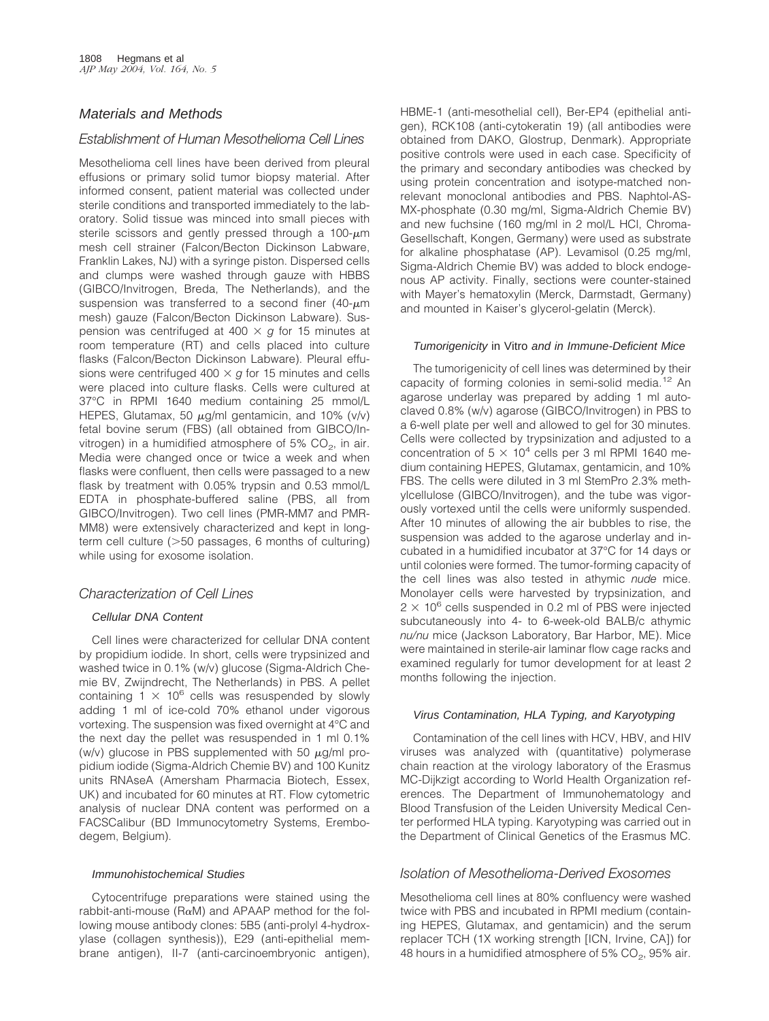## Materials and Methods

## *Establishment of Human Mesothelioma Cell Lines*

Mesothelioma cell lines have been derived from pleural effusions or primary solid tumor biopsy material. After informed consent, patient material was collected under sterile conditions and transported immediately to the laboratory. Solid tissue was minced into small pieces with sterile scissors and gently pressed through a  $100-\mu m$ mesh cell strainer (Falcon/Becton Dickinson Labware, Franklin Lakes, NJ) with a syringe piston. Dispersed cells and clumps were washed through gauze with HBBS (GIBCO/Invitrogen, Breda, The Netherlands), and the suspension was transferred to a second finer (40- $\mu$ m mesh) gauze (Falcon/Becton Dickinson Labware). Suspension was centrifuged at 400  $\times$  g for 15 minutes at room temperature (RT) and cells placed into culture flasks (Falcon/Becton Dickinson Labware). Pleural effusions were centrifuged  $400 \times g$  for 15 minutes and cells were placed into culture flasks. Cells were cultured at 37°C in RPMI 1640 medium containing 25 mmol/L HEPES, Glutamax, 50  $\mu$ g/ml gentamicin, and 10% (v/v) fetal bovine serum (FBS) (all obtained from GIBCO/Invitrogen) in a humidified atmosphere of  $5\%$  CO<sub>2</sub>, in air. Media were changed once or twice a week and when flasks were confluent, then cells were passaged to a new flask by treatment with 0.05% trypsin and 0.53 mmol/L EDTA in phosphate-buffered saline (PBS, all from GIBCO/Invitrogen). Two cell lines (PMR-MM7 and PMR-MM8) were extensively characterized and kept in longterm cell culture (>50 passages, 6 months of culturing) while using for exosome isolation.

## *Characterization of Cell Lines*

## Cellular DNA Content

Cell lines were characterized for cellular DNA content by propidium iodide. In short, cells were trypsinized and washed twice in 0.1% (w/v) glucose (Sigma-Aldrich Chemie BV, Zwijndrecht, The Netherlands) in PBS. A pellet containing  $1 \times 10^6$  cells was resuspended by slowly adding 1 ml of ice-cold 70% ethanol under vigorous vortexing. The suspension was fixed overnight at 4°C and the next day the pellet was resuspended in 1 ml 0.1% (w/v) glucose in PBS supplemented with 50  $\mu$ g/ml propidium iodide (Sigma-Aldrich Chemie BV) and 100 Kunitz units RNAseA (Amersham Pharmacia Biotech, Essex, UK) and incubated for 60 minutes at RT. Flow cytometric analysis of nuclear DNA content was performed on a FACSCalibur (BD Immunocytometry Systems, Erembodegem, Belgium).

#### Immunohistochemical Studies

Cytocentrifuge preparations were stained using the rabbit-anti-mouse ( $RaM$ ) and APAAP method for the following mouse antibody clones: 5B5 (anti-prolyl 4-hydroxylase (collagen synthesis)), E29 (anti-epithelial membrane antigen), II-7 (anti-carcinoembryonic antigen), HBME-1 (anti-mesothelial cell), Ber-EP4 (epithelial antigen), RCK108 (anti-cytokeratin 19) (all antibodies were obtained from DAKO, Glostrup, Denmark). Appropriate positive controls were used in each case. Specificity of the primary and secondary antibodies was checked by using protein concentration and isotype-matched nonrelevant monoclonal antibodies and PBS. Naphtol-AS-MX-phosphate (0.30 mg/ml, Sigma-Aldrich Chemie BV) and new fuchsine (160 mg/ml in 2 mol/L HCl, Chroma-Gesellschaft, Kongen, Germany) were used as substrate for alkaline phosphatase (AP). Levamisol (0.25 mg/ml, Sigma-Aldrich Chemie BV) was added to block endogenous AP activity. Finally, sections were counter-stained with Mayer's hematoxylin (Merck, Darmstadt, Germany) and mounted in Kaiser's glycerol-gelatin (Merck).

#### Tumorigenicity in Vitro and in Immune-Deficient Mice

The tumorigenicity of cell lines was determined by their capacity of forming colonies in semi-solid media.<sup>12</sup> An agarose underlay was prepared by adding 1 ml autoclaved 0.8% (w/v) agarose (GIBCO/Invitrogen) in PBS to a 6-well plate per well and allowed to gel for 30 minutes. Cells were collected by trypsinization and adjusted to a concentration of  $5 \times 10^4$  cells per 3 ml RPMI 1640 medium containing HEPES, Glutamax, gentamicin, and 10% FBS. The cells were diluted in 3 ml StemPro 2.3% methylcellulose (GIBCO/Invitrogen), and the tube was vigorously vortexed until the cells were uniformly suspended. After 10 minutes of allowing the air bubbles to rise, the suspension was added to the agarose underlay and incubated in a humidified incubator at 37°C for 14 days or until colonies were formed. The tumor-forming capacity of the cell lines was also tested in athymic *nude* mice. Monolayer cells were harvested by trypsinization, and  $2 \times 10^6$  cells suspended in 0.2 ml of PBS were injected subcutaneously into 4- to 6-week-old BALB/c athymic *nu/nu* mice (Jackson Laboratory, Bar Harbor, ME). Mice were maintained in sterile-air laminar flow cage racks and examined regularly for tumor development for at least 2 months following the injection.

#### Virus Contamination, HLA Typing, and Karyotyping

Contamination of the cell lines with HCV, HBV, and HIV viruses was analyzed with (quantitative) polymerase chain reaction at the virology laboratory of the Erasmus MC-Dijkzigt according to World Health Organization references. The Department of Immunohematology and Blood Transfusion of the Leiden University Medical Center performed HLA typing. Karyotyping was carried out in the Department of Clinical Genetics of the Erasmus MC.

## *Isolation of Mesothelioma-Derived Exosomes*

Mesothelioma cell lines at 80% confluency were washed twice with PBS and incubated in RPMI medium (containing HEPES, Glutamax, and gentamicin) and the serum replacer TCH (1X working strength [ICN, Irvine, CA]) for 48 hours in a humidified atmosphere of  $5\%$  CO<sub>2</sub>,  $95\%$  air.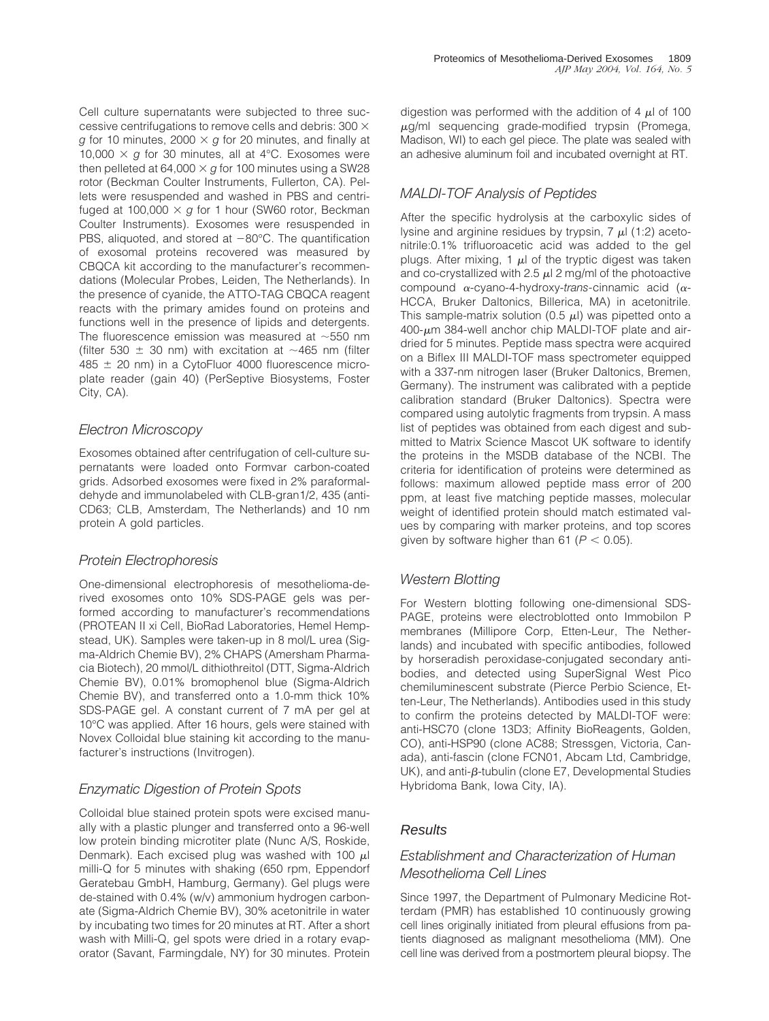Cell culture supernatants were subjected to three successive centrifugations to remove cells and debris: 300  $\times$  $g$  for 10 minutes, 2000  $\times$   $g$  for 20 minutes, and finally at 10,000  $\times$  g for 30 minutes, all at 4°C. Exosomes were then pelleted at 64,000  $\times$  *g* for 100 minutes using a SW28 rotor (Beckman Coulter Instruments, Fullerton, CA). Pellets were resuspended and washed in PBS and centrifuged at 100,000  $\times$  g for 1 hour (SW60 rotor, Beckman Coulter Instruments). Exosomes were resuspended in PBS, aliquoted, and stored at  $-80^{\circ}$ C. The quantification of exosomal proteins recovered was measured by CBQCA kit according to the manufacturer's recommendations (Molecular Probes, Leiden, The Netherlands). In the presence of cyanide, the ATTO-TAG CBQCA reagent reacts with the primary amides found on proteins and functions well in the presence of lipids and detergents. The fluorescence emission was measured at  $\sim$ 550 nm (filter 530  $\pm$  30 nm) with excitation at  $\sim$ 465 nm (filter  $485 \pm 20$  nm) in a CytoFluor 4000 fluorescence microplate reader (gain 40) (PerSeptive Biosystems, Foster City, CA).

## *Electron Microscopy*

Exosomes obtained after centrifugation of cell-culture supernatants were loaded onto Formvar carbon-coated grids. Adsorbed exosomes were fixed in 2% paraformaldehyde and immunolabeled with CLB-gran1/2, 435 (anti-CD63; CLB, Amsterdam, The Netherlands) and 10 nm protein A gold particles.

## *Protein Electrophoresis*

One-dimensional electrophoresis of mesothelioma-derived exosomes onto 10% SDS-PAGE gels was performed according to manufacturer's recommendations (PROTEAN II xi Cell, BioRad Laboratories, Hemel Hempstead, UK). Samples were taken-up in 8 mol/L urea (Sigma-Aldrich Chemie BV), 2% CHAPS (Amersham Pharmacia Biotech), 20 mmol/L dithiothreitol (DTT, Sigma-Aldrich Chemie BV), 0.01% bromophenol blue (Sigma-Aldrich Chemie BV), and transferred onto a 1.0-mm thick 10% SDS-PAGE gel. A constant current of 7 mA per gel at 10°C was applied. After 16 hours, gels were stained with Novex Colloidal blue staining kit according to the manufacturer's instructions (Invitrogen).

# *Enzymatic Digestion of Protein Spots*

Colloidal blue stained protein spots were excised manually with a plastic plunger and transferred onto a 96-well low protein binding microtiter plate (Nunc A/S, Roskide, Denmark). Each excised plug was washed with 100  $\mu$ l milli-Q for 5 minutes with shaking (650 rpm, Eppendorf Geratebau GmbH, Hamburg, Germany). Gel plugs were de-stained with 0.4% (w/v) ammonium hydrogen carbonate (Sigma-Aldrich Chemie BV), 30% acetonitrile in water by incubating two times for 20 minutes at RT. After a short wash with Milli-Q, gel spots were dried in a rotary evaporator (Savant, Farmingdale, NY) for 30 minutes. Protein

digestion was performed with the addition of 4  $\mu$  of 100  $\mu$ g/ml sequencing grade-modified trypsin (Promega, Madison, WI) to each gel piece. The plate was sealed with an adhesive aluminum foil and incubated overnight at RT.

## *MALDI-TOF Analysis of Peptides*

After the specific hydrolysis at the carboxylic sides of lysine and arginine residues by trypsin,  $7 \mu$  (1:2) acetonitrile:0.1% trifluoroacetic acid was added to the gel plugs. After mixing, 1  $\mu$  of the tryptic digest was taken and co-crystallized with 2.5  $\mu$ l 2 mg/ml of the photoactive compound α-cyano-4-hydroxy-*trans*-cinnamic acid (α-HCCA, Bruker Daltonics, Billerica, MA) in acetonitrile. This sample-matrix solution (0.5  $\mu$ I) was pipetted onto a  $400-\mu m$  384-well anchor chip MALDI-TOF plate and airdried for 5 minutes. Peptide mass spectra were acquired on a Biflex III MALDI-TOF mass spectrometer equipped with a 337-nm nitrogen laser (Bruker Daltonics, Bremen, Germany). The instrument was calibrated with a peptide calibration standard (Bruker Daltonics). Spectra were compared using autolytic fragments from trypsin. A mass list of peptides was obtained from each digest and submitted to Matrix Science Mascot UK software to identify the proteins in the MSDB database of the NCBI. The criteria for identification of proteins were determined as follows: maximum allowed peptide mass error of 200 ppm, at least five matching peptide masses, molecular weight of identified protein should match estimated values by comparing with marker proteins, and top scores given by software higher than  $61 (P < 0.05)$ .

# *Western Blotting*

For Western blotting following one-dimensional SDS-PAGE, proteins were electroblotted onto Immobilon P membranes (Millipore Corp, Etten-Leur, The Netherlands) and incubated with specific antibodies, followed by horseradish peroxidase-conjugated secondary antibodies, and detected using SuperSignal West Pico chemiluminescent substrate (Pierce Perbio Science, Etten-Leur, The Netherlands). Antibodies used in this study to confirm the proteins detected by MALDI-TOF were: anti-HSC70 (clone 13D3; Affinity BioReagents, Golden, CO), anti-HSP90 (clone AC88; Stressgen, Victoria, Canada), anti-fascin (clone FCN01, Abcam Ltd, Cambridge, UK), and anti- $\beta$ -tubulin (clone E7, Developmental Studies Hybridoma Bank, Iowa City, IA).

# Results

# *Establishment and Characterization of Human Mesothelioma Cell Lines*

Since 1997, the Department of Pulmonary Medicine Rotterdam (PMR) has established 10 continuously growing cell lines originally initiated from pleural effusions from patients diagnosed as malignant mesothelioma (MM). One cell line was derived from a postmortem pleural biopsy. The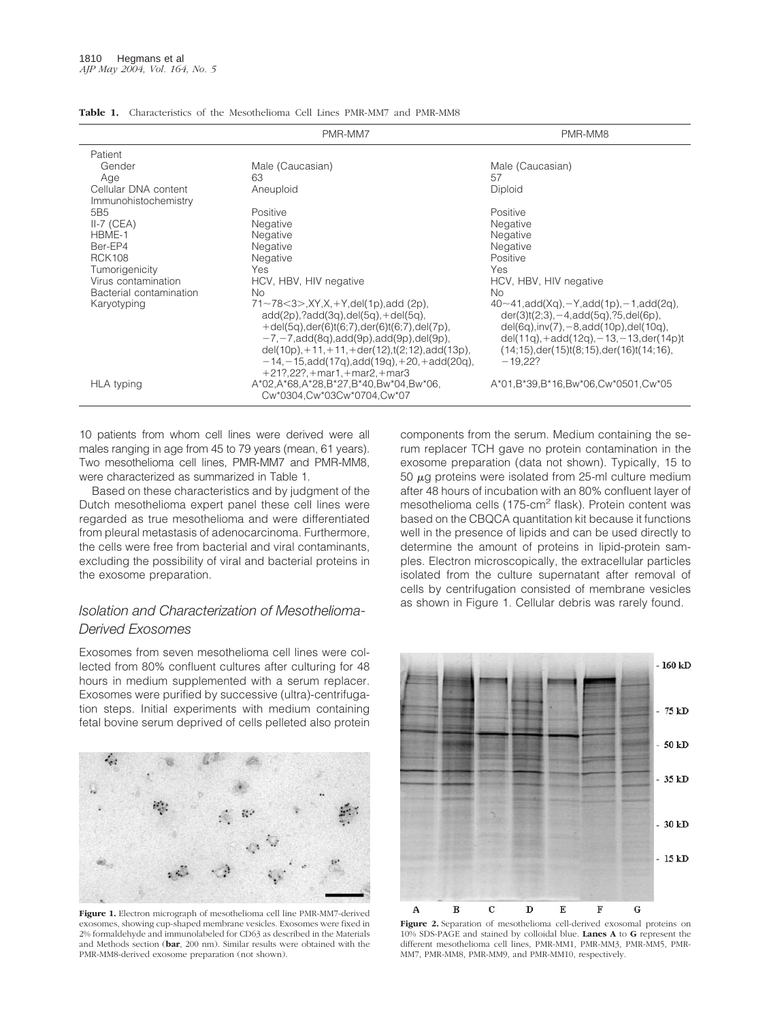|                                              | PMR-MM7                                                                                                                                                                                                                                                                                                                                           | PMR-MM8                                                                                                                                                                                                                                                                                            |  |  |  |  |  |
|----------------------------------------------|---------------------------------------------------------------------------------------------------------------------------------------------------------------------------------------------------------------------------------------------------------------------------------------------------------------------------------------------------|----------------------------------------------------------------------------------------------------------------------------------------------------------------------------------------------------------------------------------------------------------------------------------------------------|--|--|--|--|--|
| Patient                                      |                                                                                                                                                                                                                                                                                                                                                   |                                                                                                                                                                                                                                                                                                    |  |  |  |  |  |
| Gender                                       | Male (Caucasian)                                                                                                                                                                                                                                                                                                                                  | Male (Caucasian)                                                                                                                                                                                                                                                                                   |  |  |  |  |  |
| Age                                          | 63                                                                                                                                                                                                                                                                                                                                                | 57                                                                                                                                                                                                                                                                                                 |  |  |  |  |  |
| Cellular DNA content<br>Immunohistochemistry | Aneuploid                                                                                                                                                                                                                                                                                                                                         | Diploid                                                                                                                                                                                                                                                                                            |  |  |  |  |  |
| 5B <sub>5</sub>                              | Positive                                                                                                                                                                                                                                                                                                                                          | Positive                                                                                                                                                                                                                                                                                           |  |  |  |  |  |
| $II-7$ (CEA)                                 | Negative                                                                                                                                                                                                                                                                                                                                          | Negative                                                                                                                                                                                                                                                                                           |  |  |  |  |  |
| HBME-1                                       | Negative                                                                                                                                                                                                                                                                                                                                          | Negative                                                                                                                                                                                                                                                                                           |  |  |  |  |  |
| Ber-EP4                                      | Negative                                                                                                                                                                                                                                                                                                                                          | Negative                                                                                                                                                                                                                                                                                           |  |  |  |  |  |
| <b>RCK108</b>                                | Negative                                                                                                                                                                                                                                                                                                                                          | Positive                                                                                                                                                                                                                                                                                           |  |  |  |  |  |
| Tumorigenicity                               | Yes                                                                                                                                                                                                                                                                                                                                               | <b>Yes</b>                                                                                                                                                                                                                                                                                         |  |  |  |  |  |
| Virus contamination                          | HCV, HBV, HIV negative                                                                                                                                                                                                                                                                                                                            | HCV, HBV, HIV negative                                                                                                                                                                                                                                                                             |  |  |  |  |  |
| Bacterial contamination                      | <b>No</b>                                                                                                                                                                                                                                                                                                                                         | No.                                                                                                                                                                                                                                                                                                |  |  |  |  |  |
| Karyotyping                                  | $71 \sim 78 \le 3$ , XY, X, +Y, del(1p), add (2p),<br>$add(2p).$ ? $add(3q).del(5q).+del(5q).$<br>$+$ del(5q),der(6)t(6;7),der(6)t(6;7),del(7p),<br>$-7, -7, add(8q), add(9p), add(9p), del(9p),$<br>del(10p), $+11$ , $+11$ , $+$ der(12), t(2;12), add(13p),<br>$-14, -15, add(17q), add(19q), +20, +add(20q),$<br>$+21?,22?,+mar1,+mar2,+mar3$ | $40\sim41$ , add(Xq), $-Y$ , add(1p), $-1$ , add(2q),<br>$der(3)t(2;3), -4, add(5q), ?5, del(6p),$<br>$del(6q)$ , inv $(7)$ , $-8$ , add $(10p)$ , del $(10q)$ ,<br>del(11g), $+$ add(12g), $-13$ , $-13$ , der(14p)t<br>$(14;15)$ , der $(15)$ t $(8;15)$ , der $(16)$ t $(14;16)$ ,<br>$-19.22?$ |  |  |  |  |  |
| <b>HLA</b> typing                            | A*02,A*68,A*28,B*27,B*40,Bw*04,Bw*06,<br>Cw*0304,Cw*03Cw*0704,Cw*07                                                                                                                                                                                                                                                                               | A*01,B*39,B*16,Bw*06,Cw*0501,Cw*05                                                                                                                                                                                                                                                                 |  |  |  |  |  |

| <b>Table 1.</b> Characteristics of the Mesothelioma Cell Lines PMR-MM7 and PMR-MM8 |  |
|------------------------------------------------------------------------------------|--|
|------------------------------------------------------------------------------------|--|

10 patients from whom cell lines were derived were all males ranging in age from 45 to 79 years (mean, 61 years). Two mesothelioma cell lines, PMR-MM7 and PMR-MM8, were characterized as summarized in Table 1.

Based on these characteristics and by judgment of the Dutch mesothelioma expert panel these cell lines were regarded as true mesothelioma and were differentiated from pleural metastasis of adenocarcinoma. Furthermore, the cells were free from bacterial and viral contaminants, excluding the possibility of viral and bacterial proteins in the exosome preparation.

## *Isolation and Characterization of Mesothelioma-Derived Exosomes*

Exosomes from seven mesothelioma cell lines were collected from 80% confluent cultures after culturing for 48 hours in medium supplemented with a serum replacer. Exosomes were purified by successive (ultra)-centrifugation steps. Initial experiments with medium containing fetal bovine serum deprived of cells pelleted also protein



**Figure 1.** Electron micrograph of mesothelioma cell line PMR-MM7-derived exosomes, showing cup-shaped membrane vesicles. Exosomes were fixed in 2% formaldehyde and immunolabeled for CD63 as described in the Materials and Methods section (**bar**, 200 nm). Similar results were obtained with the PMR-MM8-derived exosome preparation (not shown).

components from the serum. Medium containing the serum replacer TCH gave no protein contamination in the exosome preparation (data not shown). Typically, 15 to 50  $\mu$ g proteins were isolated from 25-ml culture medium after 48 hours of incubation with an 80% confluent layer of mesothelioma cells (175-cm<sup>2</sup> flask). Protein content was based on the CBQCA quantitation kit because it functions well in the presence of lipids and can be used directly to determine the amount of proteins in lipid-protein samples. Electron microscopically, the extracellular particles isolated from the culture supernatant after removal of cells by centrifugation consisted of membrane vesicles as shown in Figure 1. Cellular debris was rarely found.



**Figure 2.** Separation of mesothelioma cell-derived exosomal proteins on 10% SDS-PAGE and stained by colloidal blue. **Lanes A** to **G** represent the different mesothelioma cell lines, PMR-MM1, PMR-MM3, PMR-MM5, PMR-MM7, PMR-MM8, PMR-MM9, and PMR-MM10, respectively.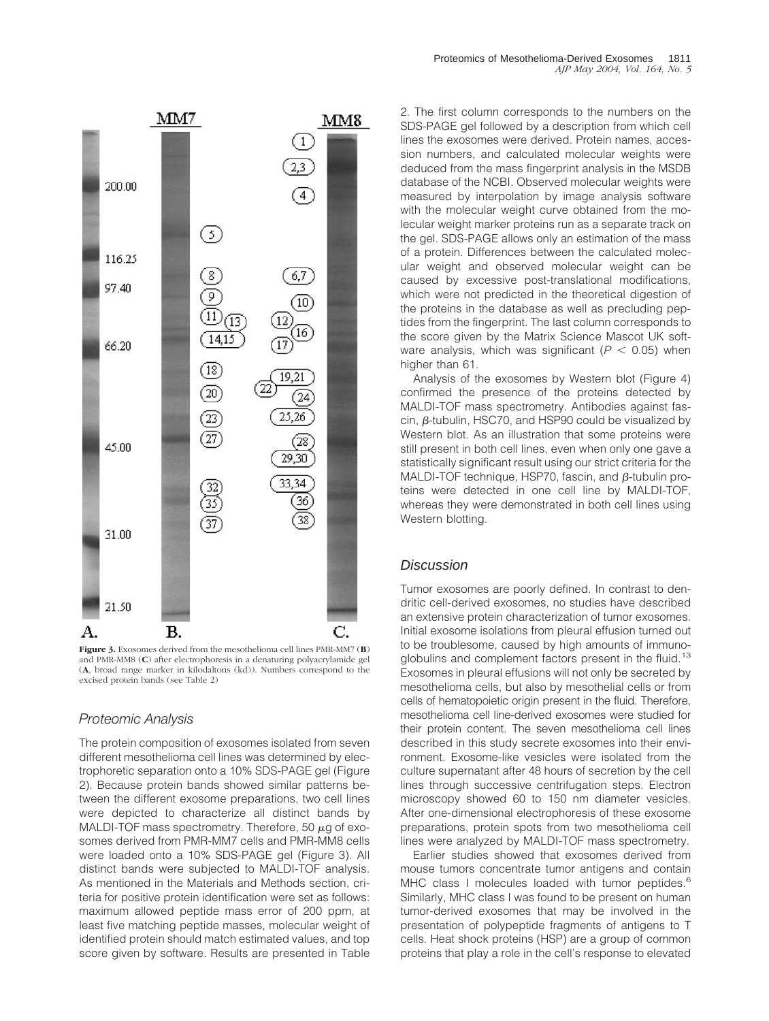

**Figure 3.** Exosomes derived from the mesothelioma cell lines PMR-MM7 (**B**) and PMR-MM8 (**C**) after electrophoresis in a denaturing polyacrylamide gel (**A**, broad range marker in kilodaltons (kd)). Numbers correspond to the excised protein bands (see Table 2)

#### *Proteomic Analysis*

The protein composition of exosomes isolated from seven different mesothelioma cell lines was determined by electrophoretic separation onto a 10% SDS-PAGE gel (Figure 2). Because protein bands showed similar patterns between the different exosome preparations, two cell lines were depicted to characterize all distinct bands by MALDI-TOF mass spectrometry. Therefore, 50  $\mu$ g of exosomes derived from PMR-MM7 cells and PMR-MM8 cells were loaded onto a 10% SDS-PAGE gel (Figure 3). All distinct bands were subjected to MALDI-TOF analysis. As mentioned in the Materials and Methods section, criteria for positive protein identification were set as follows: maximum allowed peptide mass error of 200 ppm, at least five matching peptide masses, molecular weight of identified protein should match estimated values, and top score given by software. Results are presented in Table

2. The first column corresponds to the numbers on the SDS-PAGE gel followed by a description from which cell lines the exosomes were derived. Protein names, accession numbers, and calculated molecular weights were deduced from the mass fingerprint analysis in the MSDB database of the NCBI. Observed molecular weights were measured by interpolation by image analysis software with the molecular weight curve obtained from the molecular weight marker proteins run as a separate track on the gel. SDS-PAGE allows only an estimation of the mass of a protein. Differences between the calculated molecular weight and observed molecular weight can be caused by excessive post-translational modifications, which were not predicted in the theoretical digestion of the proteins in the database as well as precluding peptides from the fingerprint. The last column corresponds to the score given by the Matrix Science Mascot UK software analysis, which was significant  $(P < 0.05)$  when higher than 61.

Analysis of the exosomes by Western blot (Figure 4) confirmed the presence of the proteins detected by MALDI-TOF mass spectrometry. Antibodies against fascin,  $\beta$ -tubulin, HSC70, and HSP90 could be visualized by Western blot. As an illustration that some proteins were still present in both cell lines, even when only one gave a statistically significant result using our strict criteria for the MALDI-TOF technique, HSP70, fascin, and  $\beta$ -tubulin proteins were detected in one cell line by MALDI-TOF, whereas they were demonstrated in both cell lines using Western blotting.

#### **Discussion**

Tumor exosomes are poorly defined. In contrast to dendritic cell-derived exosomes, no studies have described an extensive protein characterization of tumor exosomes. Initial exosome isolations from pleural effusion turned out to be troublesome, caused by high amounts of immunoglobulins and complement factors present in the fluid.<sup>13</sup> Exosomes in pleural effusions will not only be secreted by mesothelioma cells, but also by mesothelial cells or from cells of hematopoietic origin present in the fluid. Therefore, mesothelioma cell line-derived exosomes were studied for their protein content. The seven mesothelioma cell lines described in this study secrete exosomes into their environment. Exosome-like vesicles were isolated from the culture supernatant after 48 hours of secretion by the cell lines through successive centrifugation steps. Electron microscopy showed 60 to 150 nm diameter vesicles. After one-dimensional electrophoresis of these exosome preparations, protein spots from two mesothelioma cell lines were analyzed by MALDI-TOF mass spectrometry.

Earlier studies showed that exosomes derived from mouse tumors concentrate tumor antigens and contain MHC class I molecules loaded with tumor peptides.<sup>6</sup> Similarly, MHC class I was found to be present on human tumor-derived exosomes that may be involved in the presentation of polypeptide fragments of antigens to T cells. Heat shock proteins (HSP) are a group of common proteins that play a role in the cell's response to elevated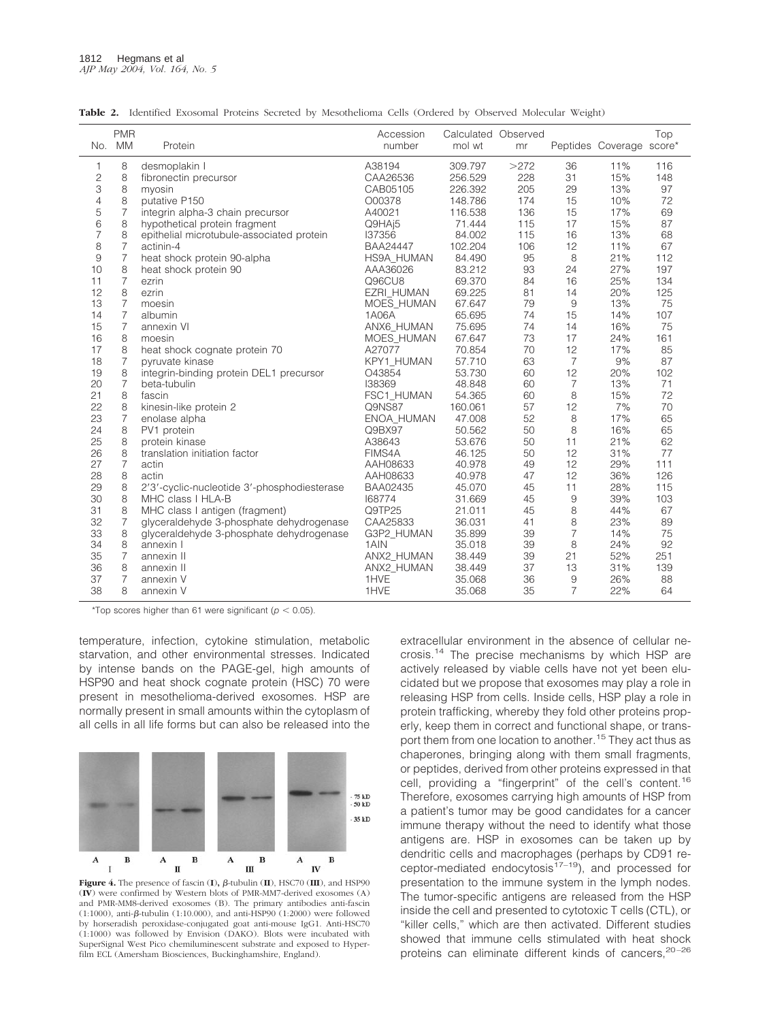|                | <b>PMR</b><br>No. MM | Protein                                     | Accession<br>number | Calculated Observed<br>mol wt | mr   |                | Peptides Coverage score* | Top |
|----------------|----------------------|---------------------------------------------|---------------------|-------------------------------|------|----------------|--------------------------|-----|
|                |                      |                                             |                     |                               |      |                |                          |     |
| 1              | 8                    | desmoplakin I                               | A38194              | 309.797                       | >272 | 36             | 11%                      | 116 |
| $\overline{c}$ | 8                    | fibronectin precursor                       | CAA26536            | 256.529                       | 228  | 31             | 15%                      | 148 |
| 3              | 8                    | myosin                                      | CAB05105            | 226.392                       | 205  | 29             | 13%                      | 97  |
| $\overline{4}$ | 8                    | putative P150                               | O00378              | 148.786                       | 174  | 15             | 10%                      | 72  |
| 5              | $\overline{7}$       | integrin alpha-3 chain precursor            | A40021              | 116.538                       | 136  | 15             | 17%                      | 69  |
| 6              | 8                    | hypothetical protein fragment               | Q9HAj5              | 71.444                        | 115  | 17             | 15%                      | 87  |
| 7              | 8                    | epithelial microtubule-associated protein   | 137356              | 84.002                        | 115  | 16             | 13%                      | 68  |
| 8              | $\overline{7}$       | actinin-4                                   | <b>BAA24447</b>     | 102.204                       | 106  | 12             | 11%                      | 67  |
| 9              | $\overline{7}$       | heat shock protein 90-alpha                 | HS9A HUMAN          | 84.490                        | 95   | 8              | 21%                      | 112 |
| 10             | 8                    | heat shock protein 90                       | AAA36026            | 83.212                        | 93   | 24             | 27%                      | 197 |
| 11             | $\overline{7}$       | ezrin                                       | Q96CU8              | 69.370                        | 84   | 16             | 25%                      | 134 |
| 12             | 8                    | ezrin                                       | EZRI HUMAN          | 69.225                        | 81   | 14             | 20%                      | 125 |
| 13             | $\overline{7}$       | moesin                                      | MOES HUMAN          | 67.647                        | 79   | 9              | 13%                      | 75  |
| 14             | $\overline{7}$       | albumin                                     | 1A06A               | 65.695                        | 74   | 15             | 14%                      | 107 |
| 15             | $\overline{7}$       | annexin VI                                  | ANX6_HUMAN          | 75.695                        | 74   | 14             | 16%                      | 75  |
| 16             | 8                    | moesin                                      | MOES HUMAN          | 67.647                        | 73   | 17             | 24%                      | 161 |
| 17             | 8                    | heat shock cognate protein 70               | A27077              | 70.854                        | 70   | 12             | 17%                      | 85  |
| 18             | $\overline{7}$       | pyruvate kinase                             | KPY1 HUMAN          | 57.710                        | 63   | 7              | 9%                       | 87  |
| 19             | 8                    | integrin-binding protein DEL1 precursor     | O43854              | 53.730                        | 60   | 12             | 20%                      | 102 |
| 20             | $\overline{7}$       | beta-tubulin                                | 138369              | 48.848                        | 60   | 7              | 13%                      | 71  |
| 21             | 8                    | fascin                                      | FSC1 HUMAN          | 54.365                        | 60   | 8              | 15%                      | 72  |
| 22             | 8                    | kinesin-like protein 2                      | Q9NS87              | 160.061                       | 57   | 12             | 7%                       | 70  |
| 23             | 7                    | enolase alpha                               | ENOA_HUMAN          | 47.008                        | 52   | 8              | 17%                      | 65  |
| 24             | 8                    | PV1 protein                                 | Q9BX97              | 50.562                        | 50   | 8              | 16%                      | 65  |
| 25             | 8                    | protein kinase                              | A38643              | 53.676                        | 50   | 11             | 21%                      | 62  |
| 26             | 8                    | translation initiation factor               | FIMS4A              | 46.125                        | 50   | 12             | 31%                      | 77  |
| 27             | $\overline{7}$       | actin                                       | AAH08633            | 40.978                        | 49   | 12             | 29%                      | 111 |
| 28             | 8                    | actin                                       | AAH08633            | 40.978                        | 47   | 12             | 36%                      | 126 |
| 29             | 8                    | 2'3'-cyclic-nucleotide 3'-phosphodiesterase | BAA02435            | 45.070                        | 45   | 11             | 28%                      | 115 |
| 30             | 8                    | MHC class I HLA-B                           | 168774              | 31.669                        | 45   | $\hbox{9}$     | 39%                      | 103 |
| 31             | 8                    | MHC class I antigen (fragment)              | Q9TP25              | 21.011                        | 45   | 8              | 44%                      | 67  |
| 32             | $\overline{7}$       | glyceraldehyde 3-phosphate dehydrogenase    | CAA25833            | 36.031                        | 41   | 8              | 23%                      | 89  |
| 33             | 8                    | glyceraldehyde 3-phosphate dehydrogenase    | G3P2_HUMAN          | 35.899                        | 39   | $\overline{7}$ | 14%                      | 75  |
| 34             | 8                    | annexin I                                   | 1AIN                | 35.018                        | 39   | 8              | 24%                      | 92  |
| 35             | $\overline{7}$       | annexin II                                  | ANX2 HUMAN          | 38.449                        | 39   | 21             | 52%                      | 251 |
| 36             | 8                    | annexin II                                  | ANX2 HUMAN          | 38.449                        | 37   | 13             | 31%                      | 139 |
| 37             | $\overline{7}$       | annexin V                                   | 1HVE                | 35.068                        | 36   | 9              | 26%                      | 88  |
| 38             | 8                    | annexin V                                   | 1HVE                | 35.068                        | 35   | $\overline{7}$ | 22%                      | 64  |

**Table 2.** Identified Exosomal Proteins Secreted by Mesothelioma Cells (Ordered by Observed Molecular Weight)

\*Top scores higher than 61 were significant ( $p < 0.05$ ).

temperature, infection, cytokine stimulation, metabolic starvation, and other environmental stresses. Indicated by intense bands on the PAGE-gel, high amounts of HSP90 and heat shock cognate protein (HSC) 70 were present in mesothelioma-derived exosomes. HSP are normally present in small amounts within the cytoplasm of all cells in all life forms but can also be released into the



Figure 4. The presence of fascin  $(I)$ ,  $\beta$ -tubulin  $(I)$ , HSC70  $(I)$ , and HSP90 (**IV**) were confirmed by Western blots of PMR-MM7-derived exosomes (A) and PMR-MM8-derived exosomes (B). The primary antibodies anti-fascin (1:1000), anti- $\beta$ -tubulin (1:10.000), and anti-HSP90 (1:2000) were followed by horseradish peroxidase-conjugated goat anti-mouse IgG1. Anti-HSC70 (1:1000) was followed by Envision (DAKO). Blots were incubated with SuperSignal West Pico chemiluminescent substrate and exposed to Hyperfilm ECL (Amersham Biosciences, Buckinghamshire, England).

extracellular environment in the absence of cellular necrosis.14 The precise mechanisms by which HSP are actively released by viable cells have not yet been elucidated but we propose that exosomes may play a role in releasing HSP from cells. Inside cells, HSP play a role in protein trafficking, whereby they fold other proteins properly, keep them in correct and functional shape, or transport them from one location to another.<sup>15</sup> They act thus as chaperones, bringing along with them small fragments, or peptides, derived from other proteins expressed in that cell, providing a "fingerprint" of the cell's content.<sup>16</sup> Therefore, exosomes carrying high amounts of HSP from a patient's tumor may be good candidates for a cancer immune therapy without the need to identify what those antigens are. HSP in exosomes can be taken up by dendritic cells and macrophages (perhaps by CD91 receptor-mediated endocytosis $17-19$ ), and processed for presentation to the immune system in the lymph nodes. The tumor-specific antigens are released from the HSP inside the cell and presented to cytotoxic T cells (CTL), or "killer cells," which are then activated. Different studies showed that immune cells stimulated with heat shock proteins can eliminate different kinds of cancers.<sup>20-26</sup>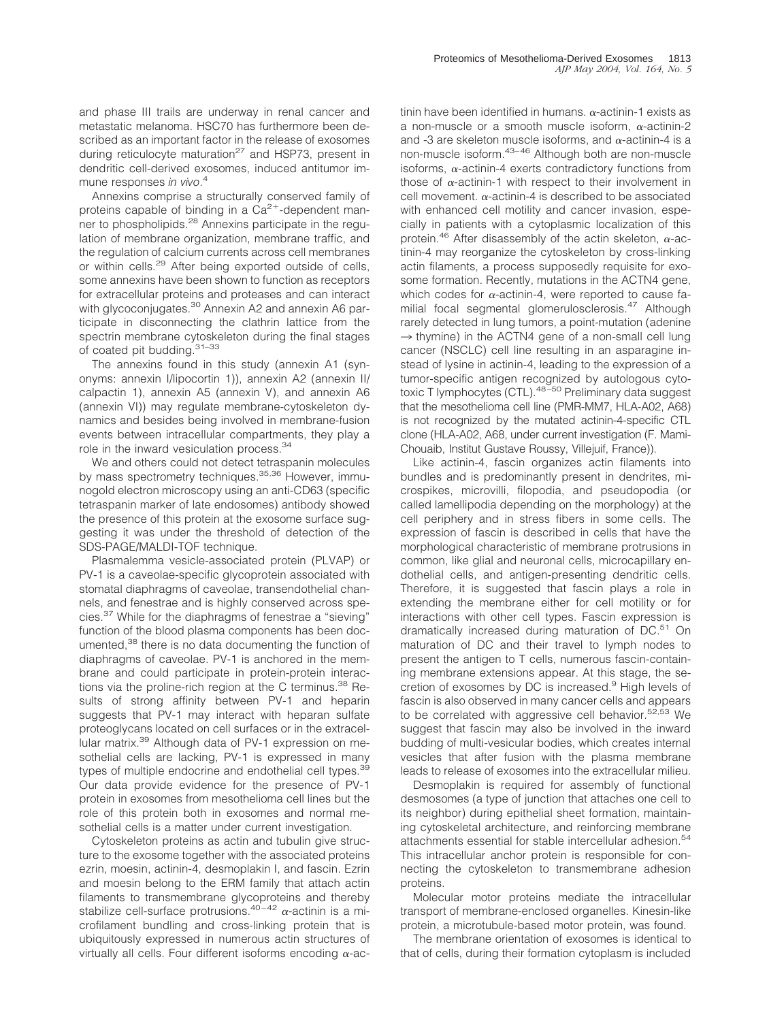and phase III trails are underway in renal cancer and metastatic melanoma. HSC70 has furthermore been described as an important factor in the release of exosomes during reticulocyte maturation<sup>27</sup> and HSP73, present in dendritic cell-derived exosomes, induced antitumor immune responses *in vivo*. 4

Annexins comprise a structurally conserved family of proteins capable of binding in a  $Ca^{2+}$ -dependent manner to phospholipids.<sup>28</sup> Annexins participate in the regulation of membrane organization, membrane traffic, and the regulation of calcium currents across cell membranes or within cells.<sup>29</sup> After being exported outside of cells, some annexins have been shown to function as receptors for extracellular proteins and proteases and can interact with glycoconjugates.<sup>30</sup> Annexin A2 and annexin A6 participate in disconnecting the clathrin lattice from the spectrin membrane cytoskeleton during the final stages of coated pit budding.<sup>31-33</sup>

The annexins found in this study (annexin A1 (synonyms: annexin I/lipocortin 1)), annexin A2 (annexin II/ calpactin 1), annexin A5 (annexin V), and annexin A6 (annexin VI)) may regulate membrane-cytoskeleton dynamics and besides being involved in membrane-fusion events between intracellular compartments, they play a role in the inward vesiculation process.<sup>34</sup>

We and others could not detect tetraspanin molecules by mass spectrometry techniques.<sup>35,36</sup> However, immunogold electron microscopy using an anti-CD63 (specific tetraspanin marker of late endosomes) antibody showed the presence of this protein at the exosome surface suggesting it was under the threshold of detection of the SDS-PAGE/MALDI-TOF technique.

Plasmalemma vesicle-associated protein (PLVAP) or PV-1 is a caveolae-specific glycoprotein associated with stomatal diaphragms of caveolae, transendothelial channels, and fenestrae and is highly conserved across species.37 While for the diaphragms of fenestrae a "sieving" function of the blood plasma components has been documented,<sup>38</sup> there is no data documenting the function of diaphragms of caveolae. PV-1 is anchored in the membrane and could participate in protein-protein interactions via the proline-rich region at the C terminus.<sup>38</sup> Results of strong affinity between PV-1 and heparin suggests that PV-1 may interact with heparan sulfate proteoglycans located on cell surfaces or in the extracellular matrix.39 Although data of PV-1 expression on mesothelial cells are lacking, PV-1 is expressed in many types of multiple endocrine and endothelial cell types.<sup>39</sup> Our data provide evidence for the presence of PV-1 protein in exosomes from mesothelioma cell lines but the role of this protein both in exosomes and normal mesothelial cells is a matter under current investigation.

Cytoskeleton proteins as actin and tubulin give structure to the exosome together with the associated proteins ezrin, moesin, actinin-4, desmoplakin I, and fascin. Ezrin and moesin belong to the ERM family that attach actin filaments to transmembrane glycoproteins and thereby stabilize cell-surface protrusions.<sup>40-42</sup>  $\alpha$ -actinin is a microfilament bundling and cross-linking protein that is ubiquitously expressed in numerous actin structures of virtually all cells. Four different isoforms encoding  $\alpha$ -ac-

tinin have been identified in humans.  $\alpha$ -actinin-1 exists as a non-muscle or a smooth muscle isoform,  $\alpha$ -actinin-2 and -3 are skeleton muscle isoforms, and  $\alpha$ -actinin-4 is a non-muscle isoform.43–46 Although both are non-muscle isoforms,  $\alpha$ -actinin-4 exerts contradictory functions from those of  $\alpha$ -actinin-1 with respect to their involvement in cell movement.  $\alpha$ -actinin-4 is described to be associated with enhanced cell motility and cancer invasion, especially in patients with a cytoplasmic localization of this protein.<sup>46</sup> After disassembly of the actin skeleton,  $\alpha$ -actinin-4 may reorganize the cytoskeleton by cross-linking actin filaments, a process supposedly requisite for exosome formation. Recently, mutations in the ACTN4 gene, which codes for  $\alpha$ -actinin-4, were reported to cause familial focal segmental glomerulosclerosis.<sup>47</sup> Although rarely detected in lung tumors, a point-mutation (adenine  $\rightarrow$  thymine) in the ACTN4 gene of a non-small cell lung cancer (NSCLC) cell line resulting in an asparagine instead of lysine in actinin-4, leading to the expression of a tumor-specific antigen recognized by autologous cytotoxic T lymphocytes (CTL).48–50 Preliminary data suggest that the mesothelioma cell line (PMR-MM7, HLA-A02, A68) is not recognized by the mutated actinin-4-specific CTL clone (HLA-A02, A68, under current investigation (F. Mami-Chouaib, Institut Gustave Roussy, Villejuif, France)).

Like actinin-4, fascin organizes actin filaments into bundles and is predominantly present in dendrites, microspikes, microvilli, filopodia, and pseudopodia (or called lamellipodia depending on the morphology) at the cell periphery and in stress fibers in some cells. The expression of fascin is described in cells that have the morphological characteristic of membrane protrusions in common, like glial and neuronal cells, microcapillary endothelial cells, and antigen-presenting dendritic cells. Therefore, it is suggested that fascin plays a role in extending the membrane either for cell motility or for interactions with other cell types. Fascin expression is dramatically increased during maturation of DC.<sup>51</sup> On maturation of DC and their travel to lymph nodes to present the antigen to T cells, numerous fascin-containing membrane extensions appear. At this stage, the secretion of exosomes by DC is increased.<sup>9</sup> High levels of fascin is also observed in many cancer cells and appears to be correlated with aggressive cell behavior.<sup>52,53</sup> We suggest that fascin may also be involved in the inward budding of multi-vesicular bodies, which creates internal vesicles that after fusion with the plasma membrane leads to release of exosomes into the extracellular milieu.

Desmoplakin is required for assembly of functional desmosomes (a type of junction that attaches one cell to its neighbor) during epithelial sheet formation, maintaining cytoskeletal architecture, and reinforcing membrane attachments essential for stable intercellular adhesion.<sup>54</sup> This intracellular anchor protein is responsible for connecting the cytoskeleton to transmembrane adhesion proteins.

Molecular motor proteins mediate the intracellular transport of membrane-enclosed organelles. Kinesin-like protein, a microtubule-based motor protein, was found.

The membrane orientation of exosomes is identical to that of cells, during their formation cytoplasm is included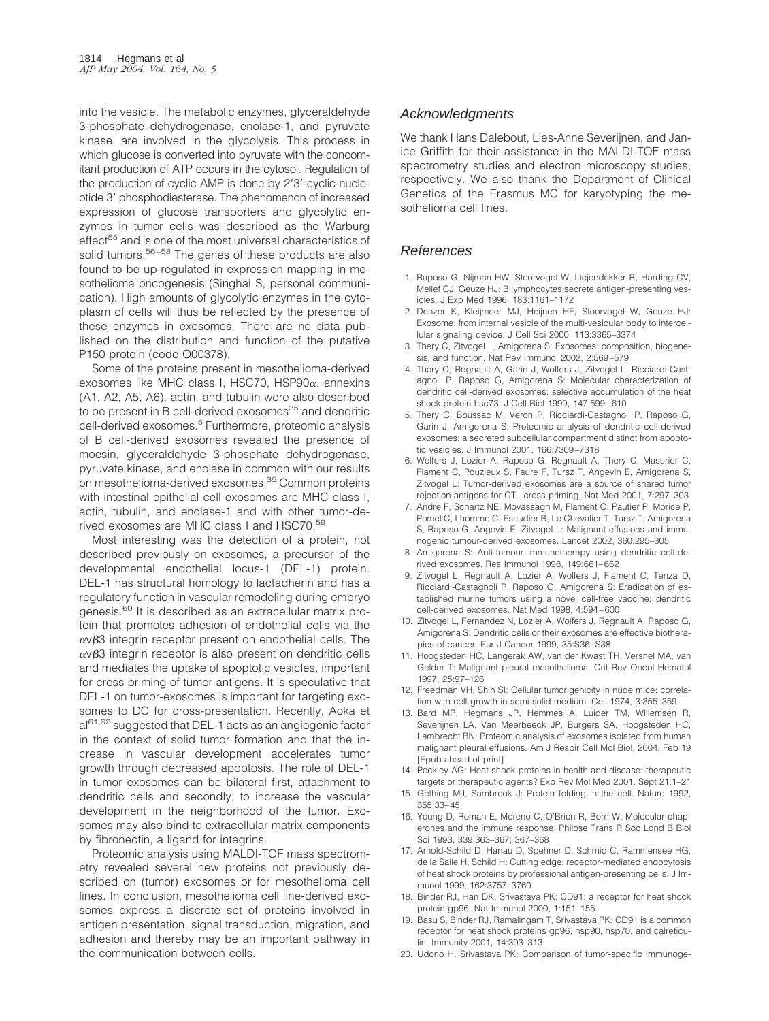into the vesicle. The metabolic enzymes, glyceraldehyde 3-phosphate dehydrogenase, enolase-1, and pyruvate kinase, are involved in the glycolysis. This process in which glucose is converted into pyruvate with the concomitant production of ATP occurs in the cytosol. Regulation of the production of cyclic AMP is done by 2'3'-cyclic-nucleotide 3' phosphodiesterase. The phenomenon of increased expression of glucose transporters and glycolytic enzymes in tumor cells was described as the Warburg effect<sup>55</sup> and is one of the most universal characteristics of solid tumors.<sup>56-58</sup> The genes of these products are also found to be up-regulated in expression mapping in mesothelioma oncogenesis (Singhal S, personal communication). High amounts of glycolytic enzymes in the cytoplasm of cells will thus be reflected by the presence of these enzymes in exosomes. There are no data published on the distribution and function of the putative P150 protein (code O00378).

Some of the proteins present in mesothelioma-derived exosomes like MHC class I, HSC70, HSP90 $\alpha$ , annexins (A1, A2, A5, A6), actin, and tubulin were also described to be present in B cell-derived exosomes<sup>35</sup> and dendritic cell-derived exosomes.<sup>5</sup> Furthermore, proteomic analysis of B cell-derived exosomes revealed the presence of moesin, glyceraldehyde 3-phosphate dehydrogenase, pyruvate kinase, and enolase in common with our results on mesothelioma-derived exosomes.<sup>35</sup> Common proteins with intestinal epithelial cell exosomes are MHC class I, actin, tubulin, and enolase-1 and with other tumor-derived exosomes are MHC class I and HSC70.<sup>59</sup>

Most interesting was the detection of a protein, not described previously on exosomes, a precursor of the developmental endothelial locus-1 (DEL-1) protein. DEL-1 has structural homology to lactadherin and has a regulatory function in vascular remodeling during embryo genesis.<sup>60</sup> It is described as an extracellular matrix protein that promotes adhesion of endothelial cells via the  $\alpha$ v $\beta$ 3 integrin receptor present on endothelial cells. The  $\alpha$ v $\beta$ 3 integrin receptor is also present on dendritic cells and mediates the uptake of apoptotic vesicles, important for cross priming of tumor antigens. It is speculative that DEL-1 on tumor-exosomes is important for targeting exosomes to DC for cross-presentation. Recently, Aoka et al<sup>61,62</sup> suggested that DEL-1 acts as an angiogenic factor in the context of solid tumor formation and that the increase in vascular development accelerates tumor growth through decreased apoptosis. The role of DEL-1 in tumor exosomes can be bilateral first, attachment to dendritic cells and secondly, to increase the vascular development in the neighborhood of the tumor. Exosomes may also bind to extracellular matrix components by fibronectin, a ligand for integrins.

Proteomic analysis using MALDI-TOF mass spectrometry revealed several new proteins not previously described on (tumor) exosomes or for mesothelioma cell lines. In conclusion, mesothelioma cell line-derived exosomes express a discrete set of proteins involved in antigen presentation, signal transduction, migration, and adhesion and thereby may be an important pathway in the communication between cells.

## Acknowledgments

We thank Hans Dalebout, Lies-Anne Severijnen, and Janice Griffith for their assistance in the MALDI-TOF mass spectrometry studies and electron microscopy studies, respectively. We also thank the Department of Clinical Genetics of the Erasmus MC for karyotyping the mesothelioma cell lines.

#### References

- 1. Raposo G, Nijman HW, Stoorvogel W, Liejendekker R, Harding CV, Melief CJ, Geuze HJ: B lymphocytes secrete antigen-presenting vesicles. J Exp Med 1996, 183:1161–1172
- 2. Denzer K, Kleijmeer MJ, Heijnen HF, Stoorvogel W, Geuze HJ: Exosome: from internal vesicle of the multi-vesicular body to intercellular signaling device. J Cell Sci 2000, 113:3365–3374
- 3. Thery C, Zitvogel L, Amigorena S: Exosomes: composition, biogenesis, and function. Nat Rev Immunol 2002, 2:569–579
- 4. Thery C, Regnault A, Garin J, Wolfers J, Zitvogel L, Ricciardi-Castagnoli P, Raposo G, Amigorena S: Molecular characterization of dendritic cell-derived exosomes: selective accumulation of the heat shock protein hsc73. J Cell Biol 1999, 147:599–610
- 5. Thery C, Boussac M, Veron P, Ricciardi-Castagnoli P, Raposo G, Garin J, Amigorena S: Proteomic analysis of dendritic cell-derived exosomes: a secreted subcellular compartment distinct from apoptotic vesicles. J Immunol 2001, 166:7309–7318
- 6. Wolfers J, Lozier A, Raposo G, Regnault A, Thery C, Masurier C, Flament C, Pouzieux S, Faure F, Tursz T, Angevin E, Amigorena S, Zitvogel L: Tumor-derived exosomes are a source of shared tumor rejection antigens for CTL cross-priming. Nat Med 2001, 7:297–303
- 7. Andre F, Schartz NE, Movassagh M, Flament C, Pautier P, Morice P, Pomel C, Lhomme C, Escudier B, Le Chevalier T, Tursz T, Amigorena S, Raposo G, Angevin E, Zitvogel L: Malignant effusions and immunogenic tumour-derived exosomes. Lancet 2002, 360:295–305
- 8. Amigorena S: Anti-tumour immunotherapy using dendritic cell-derived exosomes. Res Immunol 1998, 149:661–662
- 9. Zitvogel L, Regnault A, Lozier A, Wolfers J, Flament C, Tenza D, Ricciardi-Castagnoli P, Raposo G, Amigorena S: Eradication of established murine tumors using a novel cell-free vaccine: dendritic cell-derived exosomes. Nat Med 1998, 4:594–600
- 10. Zitvogel L, Fernandez N, Lozier A, Wolfers J, Regnault A, Raposo G, Amigorena S: Dendritic cells or their exosomes are effective biotherapies of cancer. Eur J Cancer 1999, 35:S36–S38
- 11. Hoogsteden HC, Langerak AW, van der Kwast TH, Versnel MA, van Gelder T: Malignant pleural mesothelioma. Crit Rev Oncol Hematol 1997, 25:97–126
- 12. Freedman VH, Shin SI: Cellular tumorigenicity in nude mice: correlation with cell growth in semi-solid medium. Cell 1974, 3:355–359
- 13. Bard MP, Hegmans JP, Hemmes A, Luider TM, Willemsen R, Severijnen LA, Van Meerbeeck JP, Burgers SA, Hoogsteden HC, Lambrecht BN: Proteomic analysis of exosomes isolated from human malignant pleural effusions. Am J Respir Cell Mol Biol, 2004, Feb 19 [Epub ahead of print]
- 14. Pockley AG: Heat shock proteins in health and disease: therapeutic targets or therapeutic agents? Exp Rev Mol Med 2001. Sept 21:1–21
- 15. Gething MJ, Sambrook J: Protein folding in the cell. Nature 1992, 355:33–45
- 16. Young D, Roman E, Moreno C, O'Brien R, Born W: Molecular chaperones and the immune response. Philose Trans R Soc Lond B Biol Sci 1993, 339:363–367; 367–368
- 17. Arnold-Schild D, Hanau D, Spehner D, Schmid C, Rammensee HG, de la Salle H, Schild H: Cutting edge: receptor-mediated endocytosis of heat shock proteins by professional antigen-presenting cells. J Immunol 1999, 162:3757–3760
- 18. Binder RJ, Han DK, Srivastava PK: CD91: a receptor for heat shock protein gp96. Nat Immunol 2000, 1:151–155
- 19. Basu S, Binder RJ, Ramalingam T, Srivastava PK: CD91 is a common receptor for heat shock proteins gp96, hsp90, hsp70, and calreticulin. Immunity 2001, 14:303–313
- 20. Udono H, Srivastava PK: Comparison of tumor-specific immunoge-